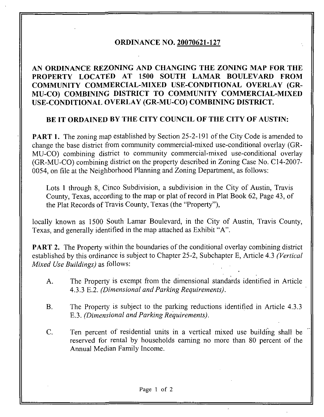## ORDINANCE NO. 20070621-127

## AN ORDINANCE REZONING AND CHANGING THE ZONING MAP FOR THE PROPERTY LOCATED AT 1500 SOUTH LAMAR BOULEVARD EROM COMMUNITY COMMERCIAL-MIXED USE-CONDITIONAL OVERLAY (GR-MU-CO) COMBINING DISTRICT TO COMMUNITY COMMERCIAL-MIXED USE-CONDITIONAL OVERLAY (GR-MU-CO) COMBINING DISTRICT.

## BE IT ORDAINED BY THE CITY COUNCIL OF THE CITY OF AUSTIN:

**PART 1.** The zoning map established by Section 25-2-191 of the City Code is amended to change the base district from community commercial-mixed use-conditional overlay (GR-MU-CO) combining district to community commercial-mixed use-conditional overlay (GR-MU-CO) combining district on the property described in Zoning Case No. C14-2007- 0054, on file at the Neighborhood Planning and Zoning Department, as follows:

Lots 1 through 8, Cinco Subdivision, a subdivision in the City of Austin, Travis County, Texas, according to the map or plat of record in Plat Book 62, Page 43, of the Plat Records of Travis County, Texas (the "Property"),

locally known as 1500 South Lamar Boulevard, in the City of Austin, Travis County, Texas, and generally identified in the map attached as Exhibit "A".

**PART 2.** The Property within the boundaries of the conditional overlay combining district established by this ordinance is subject to Chapter 25-2, Subchapter E, Article 4.3 (Vertical Mixed Use Buildings) as follows:

- A. The Property is exempt from the dimensional standards identified in Article 4.3.3 E.2. (Dimensional and Parking Requirements).
- B. The Property is subject to the parking reductions identified in Article 4.3.3 E.3. (Dimensional and Parking Requirements).
- C. Ten percent of residential units in a vertical mixed use building shall be reserved for rental by households earning no more than 80 percent of the Annual Median Family Income.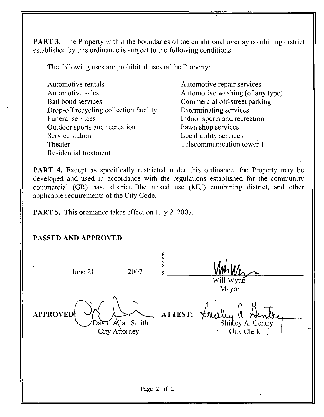**PART 3.** The Property within the boundaries of the conditional overlay combining district established by this ordinance is subject to the following conditions:

The following uses are prohibited uses of the Property:

| Automotive rentals                     |
|----------------------------------------|
| Automotive sales                       |
| Bail bond services                     |
| Drop-off recycling collection facility |
| <b>Funeral services</b>                |
| Outdoor sports and recreation          |
| Service station                        |
| Theater                                |
| Residential treatment                  |

Automotive repair services Automotive washing (of any type) Commercial off-street parking Exterminating services Indoor sports and recreation Pawn shop services Local utility services Telecommunication tower 1

PART 4. Except as specifically restricted under this ordinance, the Property may be developed and used in accordance with the regulations established for the community commercial (GR) base district, "the mixed use (MU) combining district, and other applicable requirements of the City Code.

PART 5. This ordinance takes effect on July 2, 2007.

## PASSED AND APPROVED

§ § June 21 , 2007 Wynn Mayor  $\text{APPROVED} \left( \begin{array}{c} \bigcup_{\text{A}} \bigcup_{\text{A}} \bigcup_{\text{A}} \bigcup_{\text{A}} \bigcap_{\text{A}} \bigcap_{\text{A}} \bigcap_{\text{A}} \bigcap_{\text{A}} \bigcap_{\text{A}} \bigcap_{\text{A}} \bigcap_{\text{A}} \bigcap_{\text{A}} \bigcap_{\text{A}} \bigcap_{\text{A}} \bigcap_{\text{A}} \bigcap_{\text{A}} \bigcap_{\text{A}} \bigcap_{\text{A}} \bigcap_{\text{A}} \bigcap_{\text{A}} \bigcap_{\text{A}} \bigcap_{\text{A}} \bigcap_{\$  $\overline{\chi}$ t . Allan Smith Shirley A. Gentry City Attorney **City** Attorney Page 2 of 2